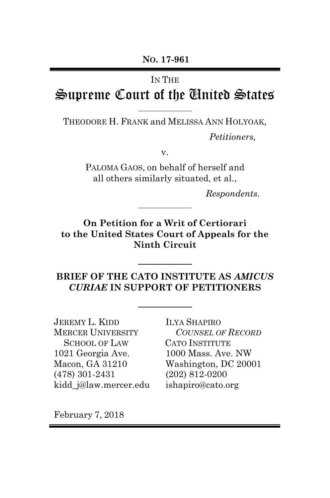**NO. 17-961**

#### IN THE

# Supreme Court of the United States

THEODORE H. FRANK and MELISSA ANN HOLYOAK,

*Petitioners,*

v.

PALOMA GAOS, on behalf of herself and all others similarly situated, et al.,

*Respondents.*

**On Petition for a Writ of Certiorari to the United States Court of Appeals for the Ninth Circuit**

**BRIEF OF THE CATO INSTITUTE AS** *AMICUS CURIAE* **IN SUPPORT OF PETITIONERS**

JEREMY L. KIDD MERCER UNIVERSITY SCHOOL OF LAW 1021 Georgia Ave. Macon, GA 31210 (478) 301-2431 kidd\_j@law.mercer.edu ILYA SHAPIRO  *COUNSEL OF RECORD* CATO INSTITUTE 1000 Mass. Ave. NW Washington, DC 20001 (202) 812-0200 ishapiro@cato.org

February 7, 2018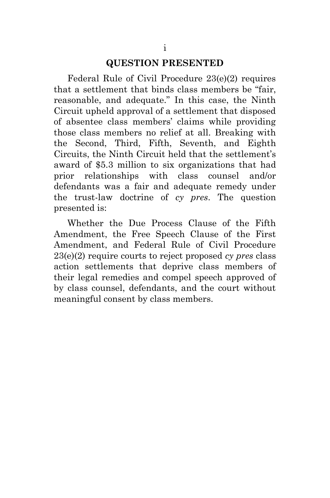#### **QUESTION PRESENTED**

Federal Rule of Civil Procedure 23(e)(2) requires that a settlement that binds class members be "fair, reasonable, and adequate." In this case, the Ninth Circuit upheld approval of a settlement that disposed of absentee class members' claims while providing those class members no relief at all. Breaking with the Second, Third, Fifth, Seventh, and Eighth Circuits, the Ninth Circuit held that the settlement's award of \$5.3 million to six organizations that had prior relationships with class counsel and/or defendants was a fair and adequate remedy under the trust-law doctrine of *cy pres*. The question presented is:

Whether the Due Process Clause of the Fifth Amendment, the Free Speech Clause of the First Amendment, and Federal Rule of Civil Procedure 23(e)(2) require courts to reject proposed *cy pres* class action settlements that deprive class members of their legal remedies and compel speech approved of by class counsel, defendants, and the court without meaningful consent by class members.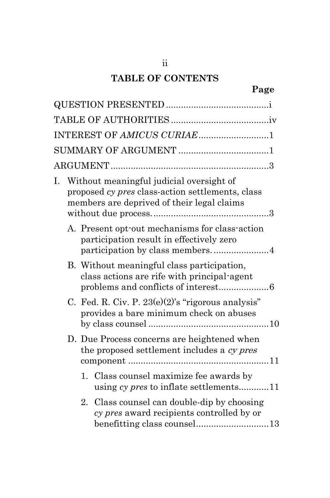# **TABLE OF CONTENTS**

|    |                                                                                                                                            |                                                                                           | INTEREST OF AMICUS CURIAE1                                                                      |  |  |  |
|----|--------------------------------------------------------------------------------------------------------------------------------------------|-------------------------------------------------------------------------------------------|-------------------------------------------------------------------------------------------------|--|--|--|
|    |                                                                                                                                            |                                                                                           |                                                                                                 |  |  |  |
|    |                                                                                                                                            |                                                                                           |                                                                                                 |  |  |  |
| I. | Without meaningful judicial oversight of<br>proposed cy pres class-action settlements, class<br>members are deprived of their legal claims |                                                                                           |                                                                                                 |  |  |  |
|    |                                                                                                                                            |                                                                                           | A. Present opt-out mechanisms for class-action<br>participation result in effectively zero      |  |  |  |
|    |                                                                                                                                            |                                                                                           | B. Without meaningful class participation,<br>class actions are rife with principal-agent       |  |  |  |
|    |                                                                                                                                            |                                                                                           | C. Fed. R. Civ. P. $23(e)(2)$ 's "rigorous analysis"<br>provides a bare minimum check on abuses |  |  |  |
|    |                                                                                                                                            | D. Due Process concerns are heightened when<br>the proposed settlement includes a cy pres |                                                                                                 |  |  |  |
|    |                                                                                                                                            |                                                                                           | 1. Class counsel maximize fee awards by                                                         |  |  |  |
|    |                                                                                                                                            |                                                                                           | 2. Class counsel can double-dip by choosing<br>cy pres award recipients controlled by or        |  |  |  |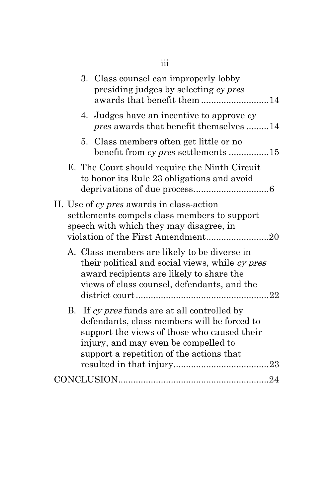| × | ł | ł |
|---|---|---|
|   |   |   |
|   |   |   |

|  |    | 3. Class counsel can improperly lobby<br>presiding judges by selecting cy pres<br>awards that benefit them 14                                                                                                                  |  |
|--|----|--------------------------------------------------------------------------------------------------------------------------------------------------------------------------------------------------------------------------------|--|
|  |    | 4. Judges have an incentive to approve cy<br>pres awards that benefit themselves 14                                                                                                                                            |  |
|  | 5. | Class members often get little or no<br>benefit from cy pres settlements 15                                                                                                                                                    |  |
|  |    | E. The Court should require the Ninth Circuit<br>to honor its Rule 23 obligations and avoid                                                                                                                                    |  |
|  |    | II. Use of cy pres awards in class-action<br>settlements compels class members to support<br>speech with which they may disagree, in<br>violation of the First Amendment20                                                     |  |
|  |    | A. Class members are likely to be diverse in<br>their political and social views, while cy pres<br>award recipients are likely to share the<br>views of class counsel, defendants, and the                                     |  |
|  |    | B. If cy pres funds are at all controlled by<br>defendants, class members will be forced to<br>support the views of those who caused their<br>injury, and may even be compelled to<br>support a repetition of the actions that |  |
|  |    |                                                                                                                                                                                                                                |  |
|  |    |                                                                                                                                                                                                                                |  |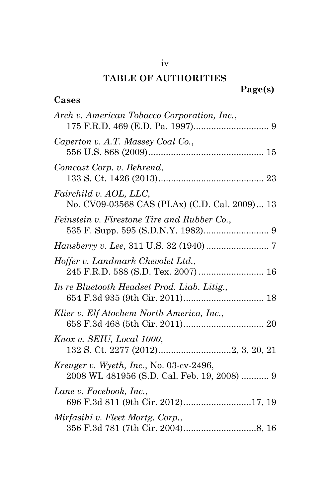## iv

# **TABLE OF AUTHORITIES**

# **Page(s)**

| Arch v. American Tobacco Corporation, Inc.,                                                   |
|-----------------------------------------------------------------------------------------------|
| Caperton v. A.T. Massey Coal Co.,                                                             |
| Comcast Corp. v. Behrend,                                                                     |
| Fairchild v. AOL, LLC,<br>No. CV09-03568 CAS (PLAx) (C.D. Cal. 2009) 13                       |
| <i>Feinstein v. Firestone Tire and Rubber Co.,</i>                                            |
|                                                                                               |
| Hoffer v. Landmark Chevolet Ltd.,<br>245 F.R.D. 588 (S.D. Tex. 2007)  16                      |
| In re Bluetooth Headset Prod. Liab. Litig.,                                                   |
| Klier v. Elf Atochem North America, Inc.,                                                     |
| Knox v. SEIU, Local 1000,                                                                     |
| <i>Kreuger v. Wyeth, Inc., No.</i> 03-cv-2496,<br>2008 WL 481956 (S.D. Cal. Feb. 19, 2008)  9 |
| Lane v. Facebook, Inc.,<br>696 F.3d 811 (9th Cir. 2012)17, 19                                 |
| Mirfasihi v. Fleet Mortg. Corp.,                                                              |

## **Cases**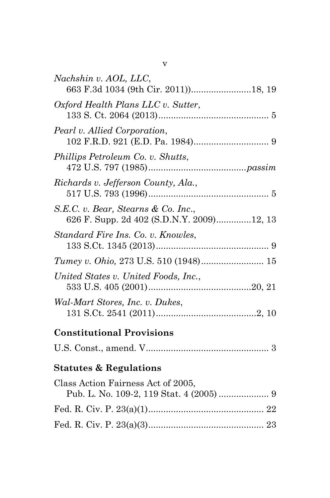| Nachshin v. AOL, LLC,<br>663 F.3d 1034 (9th Cir. 2011) 18, 19                    |
|----------------------------------------------------------------------------------|
| Oxford Health Plans LLC v. Sutter,                                               |
| Pearl v. Allied Corporation,                                                     |
| Phillips Petroleum Co. v. Shutts,                                                |
| Richards v. Jefferson County, Ala.,                                              |
| S.E.C. v. Bear, Stearns & Co. Inc.,<br>626 F. Supp. 2d 402 (S.D.N.Y. 2009)12, 13 |
| Standard Fire Ins. Co. v. Knowles,                                               |
| Tumey v. Ohio, 273 U.S. 510 (1948) 15                                            |
| United States v. United Foods, Inc.,                                             |
| Wal-Mart Stores, Inc. v. Dukes,                                                  |
| <b>Constitutional Provisions</b>                                                 |
|                                                                                  |
| <b>Statutes &amp; Regulations</b>                                                |
| Class Action Fairness Act of 2005,                                               |
|                                                                                  |
|                                                                                  |
|                                                                                  |

v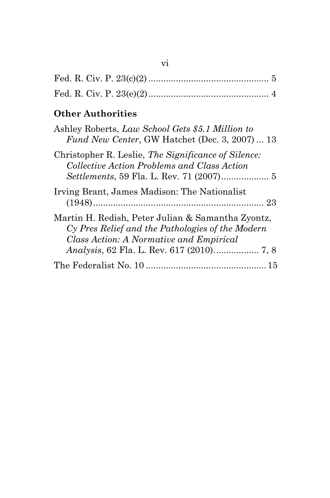# **Other Authorities**

| Ashley Roberts, Law School Gets \$5.1 Million to<br>Fund New Center, GW Hatchet (Dec. 3, 2007)  13                                               |  |
|--------------------------------------------------------------------------------------------------------------------------------------------------|--|
| Christopher R. Leslie, The Significance of Silence:<br>Collective Action Problems and Class Action                                               |  |
| Irving Brant, James Madison: The Nationalist                                                                                                     |  |
| Martin H. Redish, Peter Julian & Samantha Zyontz,<br>Cy Pres Relief and the Pathologies of the Modern<br>Class Action: A Normative and Empirical |  |
|                                                                                                                                                  |  |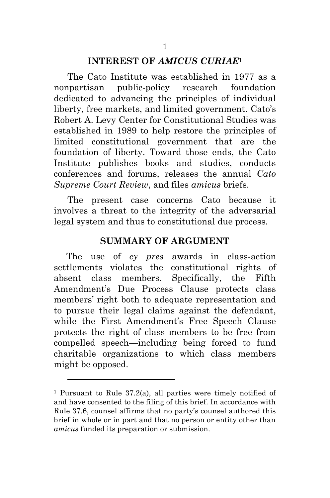#### **INTEREST OF** *AMICUS CURIAE***<sup>1</sup>**

The Cato Institute was established in 1977 as a nonpartisan public-policy research foundation dedicated to advancing the principles of individual liberty, free markets, and limited government. Cato's Robert A. Levy Center for Constitutional Studies was established in 1989 to help restore the principles of limited constitutional government that are the foundation of liberty. Toward those ends, the Cato Institute publishes books and studies, conducts conferences and forums, releases the annual *Cato Supreme Court Review*, and files *amicus* briefs.

The present case concerns Cato because it involves a threat to the integrity of the adversarial legal system and thus to constitutional due process.

#### **SUMMARY OF ARGUMENT**

The use of *cy pres* awards in class-action settlements violates the constitutional rights of absent class members. Specifically, the Fifth Amendment's Due Process Clause protects class members' right both to adequate representation and to pursue their legal claims against the defendant, while the First Amendment's Free Speech Clause protects the right of class members to be free from compelled speech—including being forced to fund charitable organizations to which class members might be opposed.

 $\overline{a}$ 

<sup>1</sup> Pursuant to Rule 37.2(a), all parties were timely notified of and have consented to the filing of this brief. In accordance with Rule 37.6, counsel affirms that no party's counsel authored this brief in whole or in part and that no person or entity other than *amicus* funded its preparation or submission.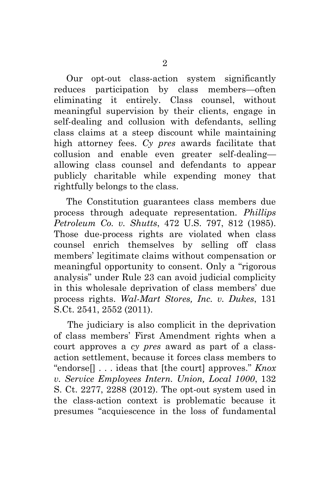Our opt-out class-action system significantly reduces participation by class members—often eliminating it entirely. Class counsel, without meaningful supervision by their clients, engage in self-dealing and collusion with defendants, selling class claims at a steep discount while maintaining high attorney fees. *Cy pres* awards facilitate that collusion and enable even greater self-dealing allowing class counsel and defendants to appear publicly charitable while expending money that rightfully belongs to the class.

The Constitution guarantees class members due process through adequate representation. *Phillips Petroleum Co. v. Shutts*, 472 U.S. 797, 812 (1985). Those due-process rights are violated when class counsel enrich themselves by selling off class members' legitimate claims without compensation or meaningful opportunity to consent. Only a "rigorous analysis" under Rule 23 can avoid judicial complicity in this wholesale deprivation of class members' due process rights. *Wal-Mart Stores, Inc. v. Dukes*, 131 S.Ct. 2541, 2552 (2011).

The judiciary is also complicit in the deprivation of class members' First Amendment rights when a court approves a *cy pres* award as part of a classaction settlement, because it forces class members to "endorse[] . . . ideas that [the court] approves." *Knox v. Service Employees Intern. Union, Local 1000*, 132 S. Ct. 2277, 2288 (2012). The opt-out system used in the class-action context is problematic because it presumes "acquiescence in the loss of fundamental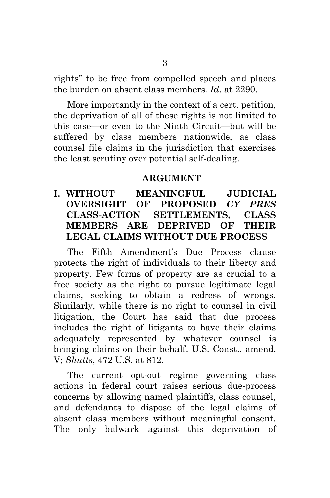rights" to be free from compelled speech and places the burden on absent class members. *Id*. at 2290.

More importantly in the context of a cert. petition, the deprivation of all of these rights is not limited to this case—or even to the Ninth Circuit—but will be suffered by class members nationwide, as class counsel file claims in the jurisdiction that exercises the least scrutiny over potential self-dealing.

#### **ARGUMENT**

## **I. WITHOUT MEANINGFUL JUDICIAL OVERSIGHT OF PROPOSED** *CY PRES* **CLASS-ACTION SETTLEMENTS, CLASS MEMBERS ARE DEPRIVED OF THEIR LEGAL CLAIMS WITHOUT DUE PROCESS**

The Fifth Amendment's Due Process clause protects the right of individuals to their liberty and property. Few forms of property are as crucial to a free society as the right to pursue legitimate legal claims, seeking to obtain a redress of wrongs. Similarly, while there is no right to counsel in civil litigation, the Court has said that due process includes the right of litigants to have their claims adequately represented by whatever counsel is bringing claims on their behalf. U.S. Const., amend. V; *Shutts*, 472 U.S. at 812.

The current opt-out regime governing class actions in federal court raises serious due-process concerns by allowing named plaintiffs, class counsel, and defendants to dispose of the legal claims of absent class members without meaningful consent. The only bulwark against this deprivation of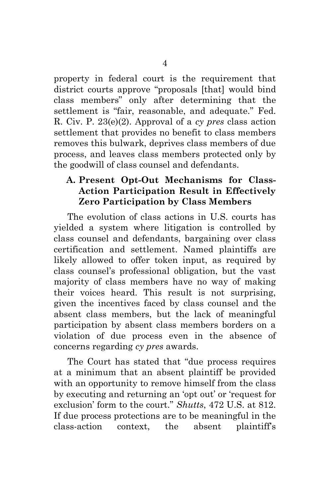property in federal court is the requirement that district courts approve "proposals [that] would bind class members" only after determining that the settlement is "fair, reasonable, and adequate." Fed. R. Civ. P. 23(e)(2). Approval of a *cy pres* class action settlement that provides no benefit to class members removes this bulwark, deprives class members of due process, and leaves class members protected only by the goodwill of class counsel and defendants.

#### **A. Present Opt-Out Mechanisms for Class-Action Participation Result in Effectively Zero Participation by Class Members**

The evolution of class actions in U.S. courts has yielded a system where litigation is controlled by class counsel and defendants, bargaining over class certification and settlement. Named plaintiffs are likely allowed to offer token input, as required by class counsel's professional obligation, but the vast majority of class members have no way of making their voices heard. This result is not surprising, given the incentives faced by class counsel and the absent class members, but the lack of meaningful participation by absent class members borders on a violation of due process even in the absence of concerns regarding *cy pres* awards.

The Court has stated that "due process requires at a minimum that an absent plaintiff be provided with an opportunity to remove himself from the class by executing and returning an 'opt out' or 'request for exclusion' form to the court." *Shutts*, 472 U.S. at 812. If due process protections are to be meaningful in the class-action context, the absent plaintiff's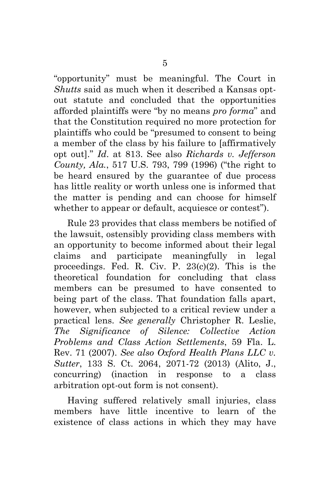"opportunity" must be meaningful. The Court in *Shutts* said as much when it described a Kansas optout statute and concluded that the opportunities afforded plaintiffs were "by no means *pro forma*" and that the Constitution required no more protection for plaintiffs who could be "presumed to consent to being a member of the class by his failure to [affirmatively opt out]." *Id*. at 813. See also *Richards v. Jefferson County, Ala.*, 517 U.S. 793, 799 (1996) ("the right to be heard ensured by the guarantee of due process has little reality or worth unless one is informed that the matter is pending and can choose for himself whether to appear or default, acquiesce or contest").

Rule 23 provides that class members be notified of the lawsuit, ostensibly providing class members with an opportunity to become informed about their legal claims and participate meaningfully in legal proceedings. Fed. R. Civ. P. 23(c)(2). This is the theoretical foundation for concluding that class members can be presumed to have consented to being part of the class. That foundation falls apart, however, when subjected to a critical review under a practical lens. *See generally* Christopher R. Leslie, *The Significance of Silence: Collective Action Problems and Class Action Settlements*, 59 Fla. L. Rev. 71 (2007). *See also Oxford Health Plans LLC v. Sutter*, 133 S. Ct. 2064, 2071-72 (2013) (Alito, J., concurring) (inaction in response to a class arbitration opt-out form is not consent).

Having suffered relatively small injuries, class members have little incentive to learn of the existence of class actions in which they may have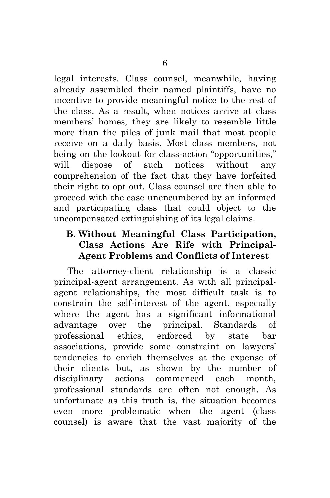legal interests. Class counsel, meanwhile, having already assembled their named plaintiffs, have no incentive to provide meaningful notice to the rest of the class. As a result, when notices arrive at class members' homes, they are likely to resemble little more than the piles of junk mail that most people receive on a daily basis. Most class members, not being on the lookout for class-action "opportunities," will dispose of such notices without any comprehension of the fact that they have forfeited their right to opt out. Class counsel are then able to proceed with the case unencumbered by an informed and participating class that could object to the uncompensated extinguishing of its legal claims.

## **B. Without Meaningful Class Participation, Class Actions Are Rife with Principal-Agent Problems and Conflicts of Interest**

The attorney-client relationship is a classic principal-agent arrangement. As with all principalagent relationships, the most difficult task is to constrain the self-interest of the agent, especially where the agent has a significant informational advantage over the principal. Standards of professional ethics, enforced by state bar associations, provide some constraint on lawyers' tendencies to enrich themselves at the expense of their clients but, as shown by the number of disciplinary actions commenced each month, professional standards are often not enough. As unfortunate as this truth is, the situation becomes even more problematic when the agent (class counsel) is aware that the vast majority of the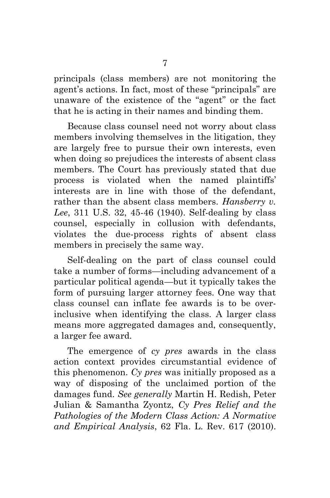principals (class members) are not monitoring the agent's actions. In fact, most of these "principals" are unaware of the existence of the "agent" or the fact that he is acting in their names and binding them.

Because class counsel need not worry about class members involving themselves in the litigation, they are largely free to pursue their own interests, even when doing so prejudices the interests of absent class members. The Court has previously stated that due process is violated when the named plaintiffs' interests are in line with those of the defendant, rather than the absent class members. *Hansberry v. Lee*, 311 U.S. 32, 45-46 (1940). Self-dealing by class counsel, especially in collusion with defendants, violates the due-process rights of absent class members in precisely the same way.

Self-dealing on the part of class counsel could take a number of forms—including advancement of a particular political agenda—but it typically takes the form of pursuing larger attorney fees. One way that class counsel can inflate fee awards is to be overinclusive when identifying the class. A larger class means more aggregated damages and, consequently, a larger fee award.

The emergence of *cy pres* awards in the class action context provides circumstantial evidence of this phenomenon. *Cy pres* was initially proposed as a way of disposing of the unclaimed portion of the damages fund. *See generally* Martin H. Redish, Peter Julian & Samantha Zyontz, *Cy Pres Relief and the Pathologies of the Modern Class Action: A Normative and Empirical Analysis*, 62 Fla. L. Rev. 617 (2010).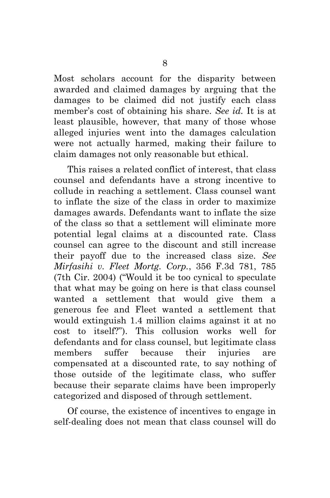Most scholars account for the disparity between awarded and claimed damages by arguing that the damages to be claimed did not justify each class member's cost of obtaining his share. *See id.* It is at least plausible, however, that many of those whose alleged injuries went into the damages calculation were not actually harmed, making their failure to claim damages not only reasonable but ethical.

This raises a related conflict of interest, that class counsel and defendants have a strong incentive to collude in reaching a settlement. Class counsel want to inflate the size of the class in order to maximize damages awards. Defendants want to inflate the size of the class so that a settlement will eliminate more potential legal claims at a discounted rate. Class counsel can agree to the discount and still increase their payoff due to the increased class size. *See Mirfasihi v. Fleet Mortg. Corp.*, 356 F.3d 781, 785 (7th Cir. 2004) ("Would it be too cynical to speculate that what may be going on here is that class counsel wanted a settlement that would give them a generous fee and Fleet wanted a settlement that would extinguish 1.4 million claims against it at no cost to itself?"). This collusion works well for defendants and for class counsel, but legitimate class members suffer because their injuries are compensated at a discounted rate, to say nothing of those outside of the legitimate class, who suffer because their separate claims have been improperly categorized and disposed of through settlement.

Of course, the existence of incentives to engage in self-dealing does not mean that class counsel will do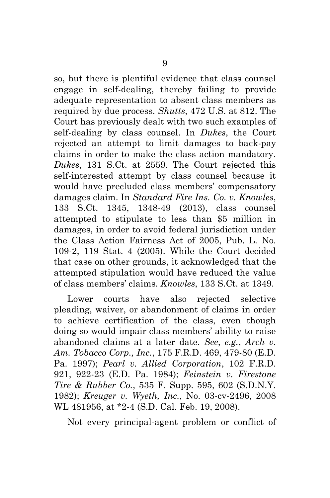so, but there is plentiful evidence that class counsel engage in self-dealing, thereby failing to provide adequate representation to absent class members as required by due process. *Shutts*, 472 U.S. at 812. The Court has previously dealt with two such examples of self-dealing by class counsel. In *Dukes*, the Court rejected an attempt to limit damages to back-pay claims in order to make the class action mandatory. *Dukes*, 131 S.Ct. at 2559. The Court rejected this self-interested attempt by class counsel because it would have precluded class members' compensatory damages claim. In *Standard Fire Ins. Co. v. Knowles*, 133 S.Ct. 1345, 1348-49 (2013), class counsel attempted to stipulate to less than \$5 million in damages, in order to avoid federal jurisdiction under the Class Action Fairness Act of 2005, Pub. L. No. 109-2, 119 Stat. 4 (2005). While the Court decided that case on other grounds, it acknowledged that the attempted stipulation would have reduced the value of class members' claims. *Knowles*, 133 S.Ct. at 1349.

Lower courts have also rejected selective pleading, waiver, or abandonment of claims in order to achieve certification of the class, even though doing so would impair class members' ability to raise abandoned claims at a later date. *See*, *e.g.*, *Arch v. Am. Tobacco Corp., Inc.*, 175 F.R.D. 469, 479-80 (E.D. Pa. 1997); *Pearl v. Allied Corporation*, 102 F.R.D. 921, 922-23 (E.D. Pa. 1984); *Feinstein v. Firestone Tire & Rubber Co.*, 535 F. Supp. 595, 602 (S.D.N.Y. 1982); *Kreuger v. Wyeth, Inc.*, No. 03-cv-2496, 2008 WL 481956, at \*2-4 (S.D. Cal. Feb. 19, 2008).

Not every principal-agent problem or conflict of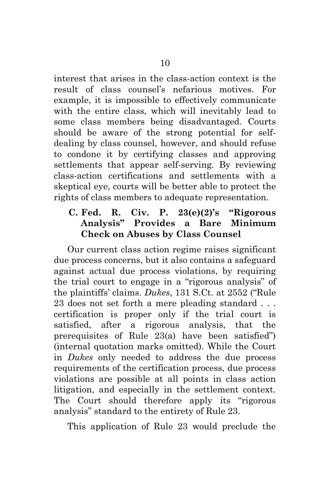interest that arises in the class-action context is the result of class counsel's nefarious motives. For example, it is impossible to effectively communicate with the entire class, which will inevitably lead to some class members being disadvantaged. Courts should be aware of the strong potential for selfdealing by class counsel, however, and should refuse to condone it by certifying classes and approving settlements that appear self-serving. By reviewing class-action certifications and settlements with a skeptical eye, courts will be better able to protect the rights of class members to adequate representation.

## **C. Fed. R. Civ. P. 23(e)(2)'s "Rigorous Analysis" Provides a Bare Minimum Check on Abuses by Class Counsel**

Our current class action regime raises significant due process concerns, but it also contains a safeguard against actual due process violations, by requiring the trial court to engage in a "rigorous analysis" of the plaintiffs' claims. *Dukes*, 131 S.Ct. at 2552 ("Rule 23 does not set forth a mere pleading standard . . . certification is proper only if the trial court is satisfied, after a rigorous analysis, that the prerequisites of Rule 23(a) have been satisfied") (internal quotation marks omitted). While the Court in *Dukes* only needed to address the due process requirements of the certification process, due process violations are possible at all points in class action litigation, and especially in the settlement context. The Court should therefore apply its "rigorous analysis" standard to the entirety of Rule 23.

This application of Rule 23 would preclude the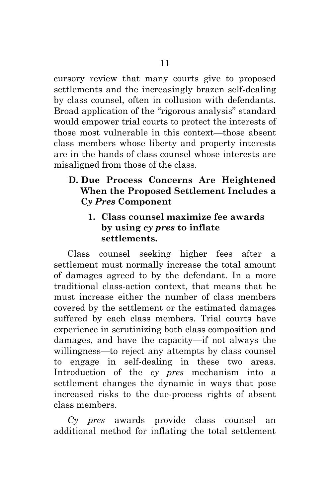cursory review that many courts give to proposed settlements and the increasingly brazen self-dealing by class counsel, often in collusion with defendants. Broad application of the "rigorous analysis" standard would empower trial courts to protect the interests of those most vulnerable in this context—those absent class members whose liberty and property interests are in the hands of class counsel whose interests are misaligned from those of the class.

## **D. Due Process Concerns Are Heightened When the Proposed Settlement Includes a C***y Pres* **Component**

#### **1. Class counsel maximize fee awards by using** *cy pres* **to inflate settlements.**

Class counsel seeking higher fees after a settlement must normally increase the total amount of damages agreed to by the defendant. In a more traditional class-action context, that means that he must increase either the number of class members covered by the settlement or the estimated damages suffered by each class members. Trial courts have experience in scrutinizing both class composition and damages, and have the capacity—if not always the willingness—to reject any attempts by class counsel to engage in self-dealing in these two areas. Introduction of the *cy pres* mechanism into a settlement changes the dynamic in ways that pose increased risks to the due-process rights of absent class members.

*Cy pres* awards provide class counsel an additional method for inflating the total settlement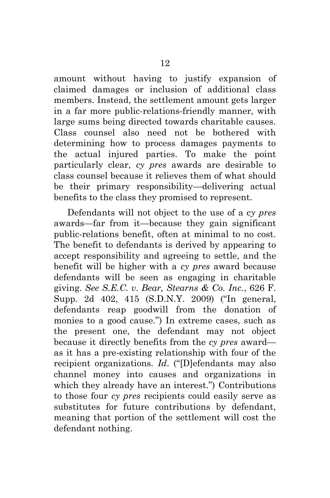amount without having to justify expansion of claimed damages or inclusion of additional class members. Instead, the settlement amount gets larger in a far more public-relations-friendly manner, with large sums being directed towards charitable causes. Class counsel also need not be bothered with determining how to process damages payments to the actual injured parties. To make the point particularly clear, *cy pres* awards are desirable to class counsel because it relieves them of what should be their primary responsibility—delivering actual benefits to the class they promised to represent.

Defendants will not object to the use of a c*y pres* awards—far from it—because they gain significant public-relations benefit, often at minimal to no cost. The benefit to defendants is derived by appearing to accept responsibility and agreeing to settle, and the benefit will be higher with a *cy pres* award because defendants will be seen as engaging in charitable giving. *See S.E.C. v. Bear, Stearns & Co. Inc.*, 626 F. Supp. 2d 402, 415 (S.D.N.Y. 2009) ("In general, defendants reap goodwill from the donation of monies to a good cause.") In extreme cases, such as the present one, the defendant may not object because it directly benefits from the *cy pres* award as it has a pre-existing relationship with four of the recipient organizations. *Id*. ("[D]efendants may also channel money into causes and organizations in which they already have an interest.") Contributions to those four *cy pres* recipients could easily serve as substitutes for future contributions by defendant, meaning that portion of the settlement will cost the defendant nothing.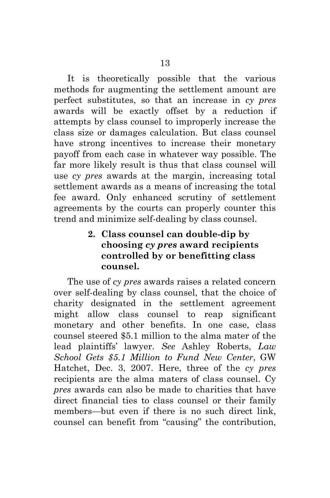It is theoretically possible that the various methods for augmenting the settlement amount are perfect substitutes, so that an increase in *cy pres* awards will be exactly offset by a reduction if attempts by class counsel to improperly increase the class size or damages calculation. But class counsel have strong incentives to increase their monetary payoff from each case in whatever way possible. The far more likely result is thus that class counsel will use *cy pres* awards at the margin, increasing total settlement awards as a means of increasing the total fee award. Only enhanced scrutiny of settlement agreements by the courts can properly counter this trend and minimize self-dealing by class counsel.

## **2. Class counsel can double-dip by choosing** *cy pres* **award recipients controlled by or benefitting class counsel.**

The use of *cy pres* awards raises a related concern over self-dealing by class counsel, that the choice of charity designated in the settlement agreement might allow class counsel to reap significant monetary and other benefits. In one case, class counsel steered \$5.1 million to the alma mater of the lead plaintiffs' lawyer. *See* Ashley Roberts, *Law School Gets \$5.1 Million to Fund New Center*, GW Hatchet, Dec. 3, 2007. Here, three of the *cy pres* recipients are the alma maters of class counsel. Cy *pres* awards can also be made to charities that have direct financial ties to class counsel or their family members—but even if there is no such direct link, counsel can benefit from "causing" the contribution,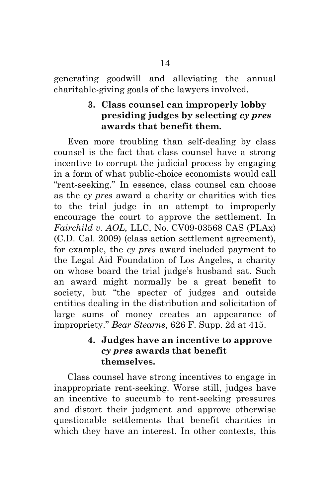generating goodwill and alleviating the annual charitable-giving goals of the lawyers involved.

#### **3. Class counsel can improperly lobby presiding judges by selecting** *cy pres* **awards that benefit them.**

Even more troubling than self-dealing by class counsel is the fact that class counsel have a strong incentive to corrupt the judicial process by engaging in a form of what public-choice economists would call "rent-seeking." In essence, class counsel can choose as the *cy pres* award a charity or charities with ties to the trial judge in an attempt to improperly encourage the court to approve the settlement. In *Fairchild v. AOL,* LLC, No. CV09-03568 CAS (PLAx) (C.D. Cal. 2009) (class action settlement agreement), for example, the *cy pres* award included payment to the Legal Aid Foundation of Los Angeles, a charity on whose board the trial judge's husband sat. Such an award might normally be a great benefit to society, but "the specter of judges and outside entities dealing in the distribution and solicitation of large sums of money creates an appearance of impropriety." *Bear Stearns*, 626 F. Supp. 2d at 415.

#### **4. Judges have an incentive to approve**  *cy pres* **awards that benefit themselves.**

Class counsel have strong incentives to engage in inappropriate rent-seeking. Worse still, judges have an incentive to succumb to rent-seeking pressures and distort their judgment and approve otherwise questionable settlements that benefit charities in which they have an interest. In other contexts, this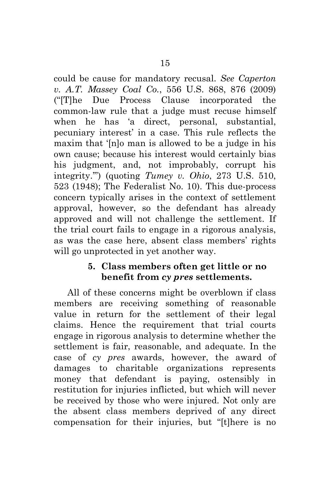could be cause for mandatory recusal. *See Caperton v. A.T. Massey Coal Co.*, 556 U.S. 868, 876 (2009) ("[T]he Due Process Clause incorporated the common-law rule that a judge must recuse himself when he has 'a direct, personal, substantial, pecuniary interest' in a case. This rule reflects the maxim that '[n]o man is allowed to be a judge in his own cause; because his interest would certainly bias his judgment, and, not improbably, corrupt his integrity.'") (quoting *Tumey v. Ohio*, 273 U.S. 510, 523 (1948); The Federalist No. 10). This due-process concern typically arises in the context of settlement approval, however, so the defendant has already approved and will not challenge the settlement. If the trial court fails to engage in a rigorous analysis, as was the case here, absent class members' rights will go unprotected in yet another way.

#### **5. Class members often get little or no benefit from** *cy pres* **settlements.**

All of these concerns might be overblown if class members are receiving something of reasonable value in return for the settlement of their legal claims. Hence the requirement that trial courts engage in rigorous analysis to determine whether the settlement is fair, reasonable, and adequate. In the case of *cy pres* awards, however, the award of damages to charitable organizations represents money that defendant is paying, ostensibly in restitution for injuries inflicted, but which will never be received by those who were injured. Not only are the absent class members deprived of any direct compensation for their injuries, but "[t]here is no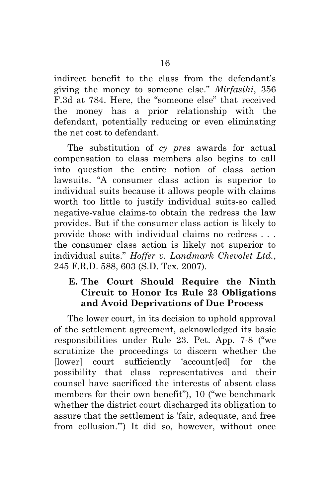indirect benefit to the class from the defendant's giving the money to someone else." *Mirfasihi*, 356 F.3d at 784. Here, the "someone else" that received the money has a prior relationship with the defendant, potentially reducing or even eliminating the net cost to defendant.

The substitution of *cy pres* awards for actual compensation to class members also begins to call into question the entire notion of class action lawsuits. "A consumer class action is superior to individual suits because it allows people with claims worth too little to justify individual suits-so called negative-value claims-to obtain the redress the law provides. But if the consumer class action is likely to provide those with individual claims no redress . . . the consumer class action is likely not superior to individual suits." *Hoffer v. Landmark Chevolet Ltd.*, 245 F.R.D. 588, 603 (S.D. Tex. 2007).

#### **E. The Court Should Require the Ninth Circuit to Honor Its Rule 23 Obligations and Avoid Deprivations of Due Process**

The lower court, in its decision to uphold approval of the settlement agreement, acknowledged its basic responsibilities under Rule 23. Pet. App. 7-8 ("we scrutinize the proceedings to discern whether the [lower] court sufficiently 'account[ed] for the possibility that class representatives and their counsel have sacrificed the interests of absent class members for their own benefit"), 10 ("we benchmark whether the district court discharged its obligation to assure that the settlement is 'fair, adequate, and free from collusion.'") It did so, however, without once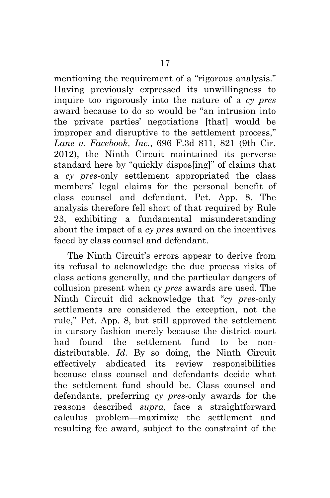mentioning the requirement of a "rigorous analysis." Having previously expressed its unwillingness to inquire too rigorously into the nature of a *cy pres* award because to do so would be "an intrusion into the private parties' negotiations [that] would be improper and disruptive to the settlement process," *Lane v. Facebook, Inc.*, 696 F.3d 811, 821 (9th Cir. 2012), the Ninth Circuit maintained its perverse standard here by "quickly dispos[ing]" of claims that a *cy pres*-only settlement appropriated the class members' legal claims for the personal benefit of class counsel and defendant. Pet. App. 8. The analysis therefore fell short of that required by Rule 23, exhibiting a fundamental misunderstanding about the impact of a *cy pres* award on the incentives faced by class counsel and defendant.

The Ninth Circuit's errors appear to derive from its refusal to acknowledge the due process risks of class actions generally, and the particular dangers of collusion present when *cy pres* awards are used. The Ninth Circuit did acknowledge that "*cy pres*-only settlements are considered the exception, not the rule," Pet. App. 8, but still approved the settlement in cursory fashion merely because the district court had found the settlement fund to be nondistributable. *Id.* By so doing, the Ninth Circuit effectively abdicated its review responsibilities because class counsel and defendants decide what the settlement fund should be. Class counsel and defendants, preferring *cy pres*-only awards for the reasons described *supra*, face a straightforward calculus problem—maximize the settlement and resulting fee award, subject to the constraint of the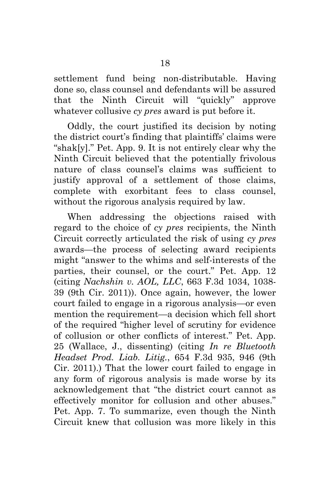settlement fund being non-distributable. Having done so, class counsel and defendants will be assured that the Ninth Circuit will "quickly" approve whatever collusive *cy pres* award is put before it.

Oddly, the court justified its decision by noting the district court's finding that plaintiffs' claims were "shak[y]." Pet. App. 9. It is not entirely clear why the Ninth Circuit believed that the potentially frivolous nature of class counsel's claims was sufficient to justify approval of a settlement of those claims, complete with exorbitant fees to class counsel, without the rigorous analysis required by law.

When addressing the objections raised with regard to the choice of *cy pres* recipients, the Ninth Circuit correctly articulated the risk of using *cy pres* awards—the process of selecting award recipients might "answer to the whims and self-interests of the parties, their counsel, or the court." Pet. App. 12 (citing *Nachshin v. AOL, LLC*, 663 F.3d 1034, 1038- 39 (9th Cir. 2011)). Once again, however, the lower court failed to engage in a rigorous analysis—or even mention the requirement—a decision which fell short of the required "higher level of scrutiny for evidence of collusion or other conflicts of interest." Pet. App. 25 (Wallace, J., dissenting) (citing *In re Bluetooth Headset Prod. Liab. Litig.*, 654 F.3d 935, 946 (9th Cir. 2011).) That the lower court failed to engage in any form of rigorous analysis is made worse by its acknowledgement that "the district court cannot as effectively monitor for collusion and other abuses." Pet. App. 7. To summarize, even though the Ninth Circuit knew that collusion was more likely in this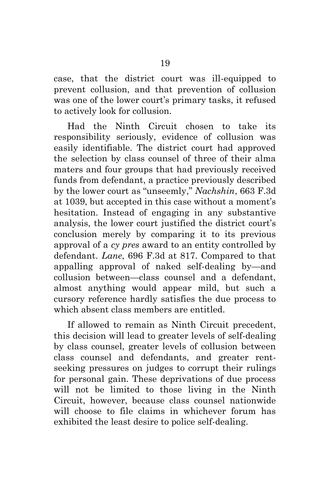case, that the district court was ill-equipped to prevent collusion, and that prevention of collusion was one of the lower court's primary tasks, it refused to actively look for collusion.

Had the Ninth Circuit chosen to take its responsibility seriously, evidence of collusion was easily identifiable. The district court had approved the selection by class counsel of three of their alma maters and four groups that had previously received funds from defendant, a practice previously described by the lower court as "unseemly," *Nachshin*, 663 F.3d at 1039, but accepted in this case without a moment's hesitation. Instead of engaging in any substantive analysis, the lower court justified the district court's conclusion merely by comparing it to its previous approval of a *cy pres* award to an entity controlled by defendant. *Lane*, 696 F.3d at 817. Compared to that appalling approval of naked self-dealing by—and collusion between—class counsel and a defendant, almost anything would appear mild, but such a cursory reference hardly satisfies the due process to which absent class members are entitled.

If allowed to remain as Ninth Circuit precedent, this decision will lead to greater levels of self-dealing by class counsel, greater levels of collusion between class counsel and defendants, and greater rentseeking pressures on judges to corrupt their rulings for personal gain. These deprivations of due process will not be limited to those living in the Ninth Circuit, however, because class counsel nationwide will choose to file claims in whichever forum has exhibited the least desire to police self-dealing.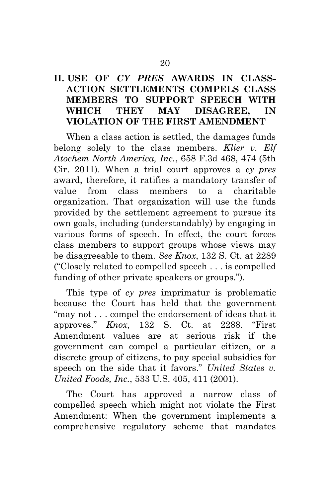## **II. USE OF** *CY PRES* **AWARDS IN CLASS-ACTION SETTLEMENTS COMPELS CLASS MEMBERS TO SUPPORT SPEECH WITH WHICH THEY MAY DISAGREE, IN VIOLATION OF THE FIRST AMENDMENT**

When a class action is settled, the damages funds belong solely to the class members. *Klier v. Elf Atochem North America, Inc.*, 658 F.3d 468, 474 (5th Cir. 2011). When a trial court approves a *cy pres* award, therefore, it ratifies a mandatory transfer of value from class members to a charitable organization. That organization will use the funds provided by the settlement agreement to pursue its own goals, including (understandably) by engaging in various forms of speech. In effect, the court forces class members to support groups whose views may be disagreeable to them. *See Knox*, 132 S. Ct. at 2289 ("Closely related to compelled speech . . . is compelled funding of other private speakers or groups.").

This type of *cy pres* imprimatur is problematic because the Court has held that the government "may not . . . compel the endorsement of ideas that it approves." *Knox*, 132 S. Ct. at 2288. "First Amendment values are at serious risk if the government can compel a particular citizen, or a discrete group of citizens, to pay special subsidies for speech on the side that it favors." *United States v. United Foods, Inc.*, 533 U.S. 405, 411 (2001).

The Court has approved a narrow class of compelled speech which might not violate the First Amendment: When the government implements a comprehensive regulatory scheme that mandates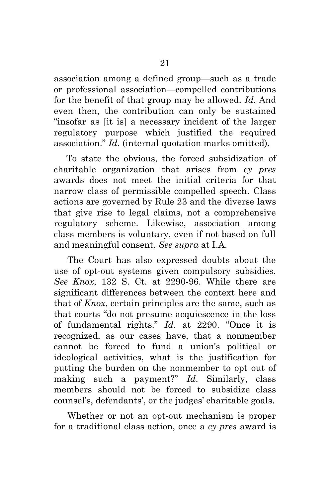association among a defined group—such as a trade or professional association—compelled contributions for the benefit of that group may be allowed. *Id*. And even then, the contribution can only be sustained "insofar as [it is] a necessary incident of the larger regulatory purpose which justified the required association." *Id*. (internal quotation marks omitted).

To state the obvious, the forced subsidization of charitable organization that arises from *cy pres* awards does not meet the initial criteria for that narrow class of permissible compelled speech. Class actions are governed by Rule 23 and the diverse laws that give rise to legal claims, not a comprehensive regulatory scheme. Likewise, association among class members is voluntary, even if not based on full and meaningful consent. *See supra* at I.A.

The Court has also expressed doubts about the use of opt-out systems given compulsory subsidies. *See Knox*, 132 S. Ct. at 2290-96. While there are significant differences between the context here and that of *Knox*, certain principles are the same, such as that courts "do not presume acquiescence in the loss of fundamental rights." *Id*. at 2290. "Once it is recognized, as our cases have, that a nonmember cannot be forced to fund a union's political or ideological activities, what is the justification for putting the burden on the nonmember to opt out of making such a payment?" *Id*. Similarly, class members should not be forced to subsidize class counsel's, defendants', or the judges' charitable goals.

Whether or not an opt-out mechanism is proper for a traditional class action, once a *cy pres* award is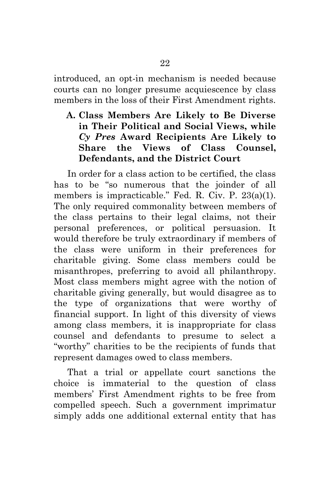introduced, an opt-in mechanism is needed because courts can no longer presume acquiescence by class members in the loss of their First Amendment rights.

## **A. Class Members Are Likely to Be Diverse in Their Political and Social Views, while** *Cy Pres* **Award Recipients Are Likely to Share the Views of Class Counsel, Defendants, and the District Court**

In order for a class action to be certified, the class has to be "so numerous that the joinder of all members is impracticable." Fed. R. Civ. P. 23(a)(1). The only required commonality between members of the class pertains to their legal claims, not their personal preferences, or political persuasion. It would therefore be truly extraordinary if members of the class were uniform in their preferences for charitable giving. Some class members could be misanthropes, preferring to avoid all philanthropy. Most class members might agree with the notion of charitable giving generally, but would disagree as to the type of organizations that were worthy of financial support. In light of this diversity of views among class members, it is inappropriate for class counsel and defendants to presume to select a "worthy" charities to be the recipients of funds that represent damages owed to class members.

That a trial or appellate court sanctions the choice is immaterial to the question of class members' First Amendment rights to be free from compelled speech. Such a government imprimatur simply adds one additional external entity that has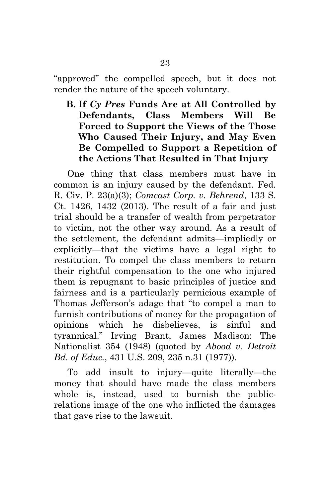"approved" the compelled speech, but it does not render the nature of the speech voluntary.

**B. If** *Cy Pres* **Funds Are at All Controlled by Defendants, Class Members Will Be Forced to Support the Views of the Those Who Caused Their Injury, and May Even Be Compelled to Support a Repetition of the Actions That Resulted in That Injury**

One thing that class members must have in common is an injury caused by the defendant. Fed. R. Civ. P. 23(a)(3); *Comcast Corp. v. Behrend*, 133 S. Ct. 1426, 1432 (2013). The result of a fair and just trial should be a transfer of wealth from perpetrator to victim, not the other way around. As a result of the settlement, the defendant admits—impliedly or explicitly—that the victims have a legal right to restitution. To compel the class members to return their rightful compensation to the one who injured them is repugnant to basic principles of justice and fairness and is a particularly pernicious example of Thomas Jefferson's adage that "to compel a man to furnish contributions of money for the propagation of opinions which he disbelieves, is sinful and tyrannical." Irving Brant, James Madison: The Nationalist 354 (1948) (quoted by *Abood v. Detroit Bd. of Educ.*, 431 U.S. 209, 235 n.31 (1977)).

To add insult to injury—quite literally—the money that should have made the class members whole is, instead, used to burnish the publicrelations image of the one who inflicted the damages that gave rise to the lawsuit.